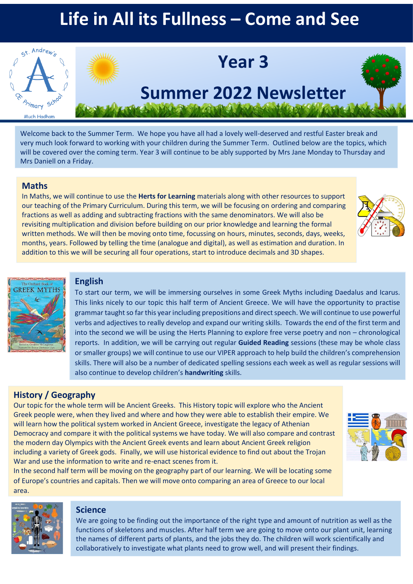# **Life in All its Fullness – Come and See**



Welcome back to the Summer Term. We hope you have all had a lovely well-deserved and restful Easter break and very much look forward to working with your children during the Summer Term. Outlined below are the topics, which will be covered over the coming term. Year 3 will continue to be ably supported by Mrs Jane Monday to Thursday and Mrs Daniell on a Friday.

#### **Maths**

In Maths, we will continue to use the **Herts for Learning** materials along with other resources to support our teaching of the Primary Curriculum. During this term, we will be focusing on ordering and comparing fractions as well as adding and subtracting fractions with the same denominators. We will also be revisiting multiplication and division before building on our prior knowledge and learning the formal written methods. We will then be moving onto time, focussing on hours, minutes, seconds, days, weeks, months, years. Followed by telling the time (analogue and digital), as well as estimation and duration. In addition to this we will be securing all four operations, start to introduce decimals and 3D shapes.





#### **English**

To start our term, we will be immersing ourselves in some Greek Myths including Daedalus and Icarus. This links nicely to our topic this half term of Ancient Greece. We will have the opportunity to practise grammar taught so far this year including prepositions and direct speech. We will continue to use powerful verbs and adjectives to really develop and expand our writing skills. Towards the end of the first term and into the second we will be using the Herts Planning to explore free verse poetry and non – chronological reports. In addition, we will be carrying out regular **Guided Reading** sessions (these may be whole class or smaller groups) we will continue to use our VIPER approach to help build the children's comprehension skills. There will also be a number of dedicated spelling sessions each week as well as regular sessions will also continue to develop children's **handwriting** skills.

### **History / Geography**

Our topic for the whole term will be Ancient Greeks. This History topic will explore who the Ancient Greek people were, when they lived and where and how they were able to establish their empire. We will learn how the political system worked in Ancient Greece, investigate the legacy of Athenian Democracy and compare it with the political systems we have today. We will also compare and contrast the modern day Olympics with the Ancient Greek events and learn about Ancient Greek religion including a variety of Greek gods. Finally, we will use historical evidence to find out about the Trojan War and use the information to write and re-enact scenes from it.



In the second half term will be moving on the geography part of our learning. We will be locating some of Europe's countries and capitals. Then we will move onto comparing an area of Greece to our local area.



#### **Science**

We are going to be finding out the importance of the right type and amount of nutrition as well as the functions of skeletons and muscles. After half term we are going to move onto our plant unit, learning the names of different parts of plants, and the jobs they do. The children will work scientifically and collaboratively to investigate what plants need to grow well, and will present their findings.